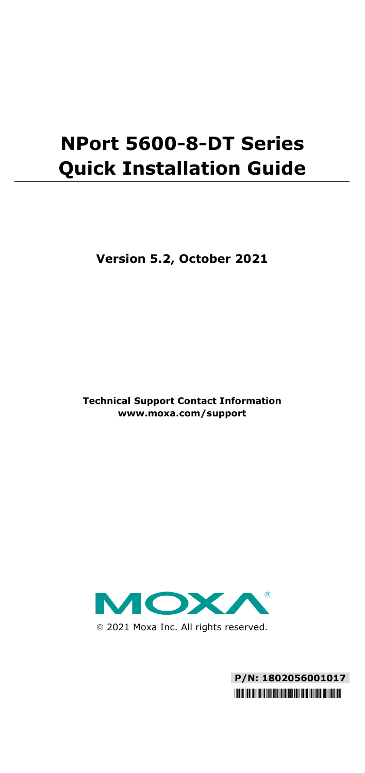# **NPort 5600-8-DT Series Quick Installation Guide**

**Version 5.2, October 2021**

**Technical Support Contact Information www.moxa.com/support**



2021 Moxa Inc. All rights reserved.

**P/N: 1802056001017** \*1802056001017\*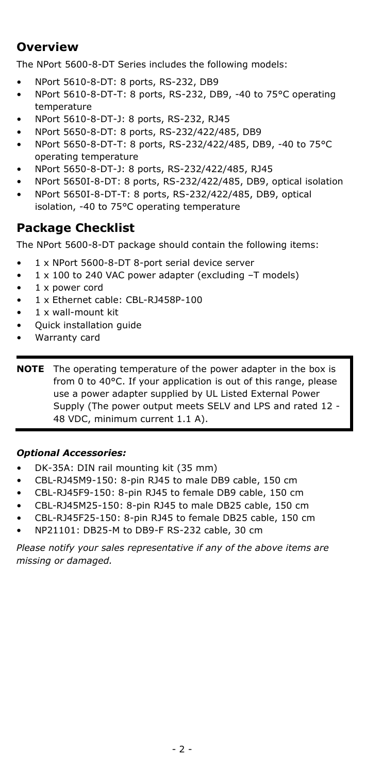# **Overview**

The NPort 5600-8-DT Series includes the following models:

- NPort 5610-8-DT: 8 ports, RS-232, DB9
- NPort 5610-8-DT-T: 8 ports, RS-232, DB9, -40 to 75°C operating temperature
- NPort 5610-8-DT-J: 8 ports, RS-232, RJ45
- NPort 5650-8-DT: 8 ports, RS-232/422/485, DB9
- NPort 5650-8-DT-T: 8 ports, RS-232/422/485, DB9, -40 to 75°C operating temperature
- NPort 5650-8-DT-J: 8 ports, RS-232/422/485, RJ45
- NPort 5650I-8-DT: 8 ports, RS-232/422/485, DB9, optical isolation
- NPort 5650I-8-DT-T: 8 ports, RS-232/422/485, DB9, optical isolation, -40 to 75°C operating temperature

## **Package Checklist**

The NPort 5600-8-DT package should contain the following items:

- 1 x NPort 5600-8-DT 8-port serial device server
- 1 x 100 to 240 VAC power adapter (excluding -T models)
- 1 x power cord
- 1 x Ethernet cable: CBL-RJ458P-100
- 1 x wall-mount kit
- Quick installation guide
- Warranty card

**NOTE** The operating temperature of the power adapter in the box is from 0 to 40°C. If your application is out of this range, please use a power adapter supplied by UL Listed External Power Supply (The power output meets SELV and LPS and rated 12 - 48 VDC, minimum current 1.1 A).

### *Optional Accessories:*

- DK-35A: DIN rail mounting kit (35 mm)
- CBL-RJ45M9-150: 8-pin RJ45 to male DB9 cable, 150 cm
- CBL-RJ45F9-150: 8-pin RJ45 to female DB9 cable, 150 cm
- CBL-RJ45M25-150: 8-pin RJ45 to male DB25 cable, 150 cm
- CBL-RJ45F25-150: 8-pin RJ45 to female DB25 cable, 150 cm
- NP21101: DB25-M to DB9-F RS-232 cable, 30 cm

*Please notify your sales representative if any of the above items are missing or damaged.*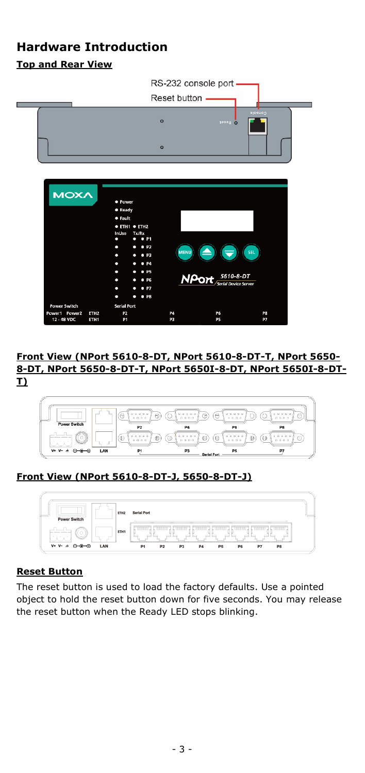# **Hardware Introduction Top and Rear View**

|                                                                                             |                                                                                                                                                                          |                 | RS-232 console port                               |                 |
|---------------------------------------------------------------------------------------------|--------------------------------------------------------------------------------------------------------------------------------------------------------------------------|-----------------|---------------------------------------------------|-----------------|
|                                                                                             |                                                                                                                                                                          | Reset button -  |                                                   |                 |
|                                                                                             |                                                                                                                                                                          | $\circ$         | <b>D</b> Reset                                    | <b>Gosso</b>    |
|                                                                                             |                                                                                                                                                                          | $\circ$         |                                                   |                 |
| <b>MOXA</b>                                                                                 | · Power<br>· Ready<br><b>•</b> Fault<br><b>• ETH1 • ETH2</b><br><b>InUse</b><br>Tx/Rx<br>$\rho$ P1<br>٠<br>۰<br>P <sub>2</sub><br>۰<br>۰<br>P3<br>• P4<br>۰<br>• P5<br>۰ | <b>MENU</b>     |                                                   | SEL             |
|                                                                                             | • P6<br>о<br>P7<br>о<br>• P8<br>٠<br>n                                                                                                                                   |                 | 5610-8-DT<br><b>NPort</b><br>Serial Device Server |                 |
| <b>Power Switch</b><br>Power1 Power2<br>ETH <sub>2</sub><br>12 - 48 VDC<br>ETH <sub>1</sub> | <b>Serial Port</b><br>P <sub>2</sub><br>P <sub>1</sub>                                                                                                                   | <b>P4</b><br>P3 | P <sub>6</sub><br><b>P5</b>                       | P8<br><b>P7</b> |

#### **Front View (NPort 5610-8-DT, NPort 5610-8-DT-T, NPort 5650- 8-DT, NPort 5650-8-DT-T, NPort 5650I-8-DT, NPort 5650I-8-DT-T)**



## **Front View (NPort 5610-8-DT-J, 5650-8-DT-J)**



#### **Reset Button**

The reset button is used to load the factory defaults. Use a pointed object to hold the reset button down for five seconds. You may release the reset button when the Ready LED stops blinking.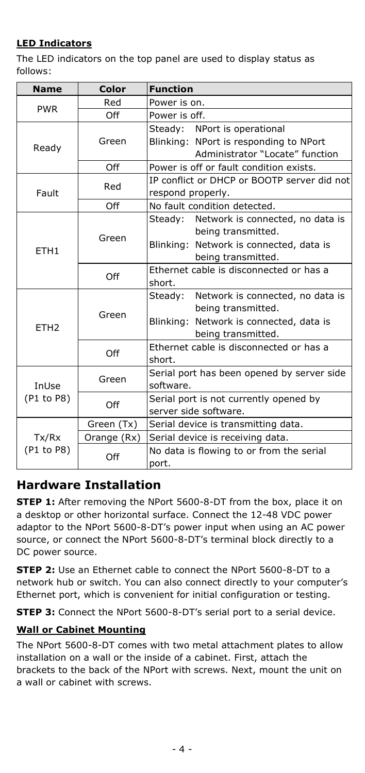## **LED Indicators**

The LED indicators on the top panel are used to display status as follows:

| <b>Name</b>      | Color       | <b>Function</b>                             |  |  |  |
|------------------|-------------|---------------------------------------------|--|--|--|
|                  | Red         | Power is on.                                |  |  |  |
| <b>PWR</b>       | Off         | Power is off.                               |  |  |  |
|                  |             | Steady: NPort is operational                |  |  |  |
| Ready            | Green       | Blinking: NPort is responding to NPort      |  |  |  |
|                  |             | Administrator "Locate" function             |  |  |  |
|                  | Off         | Power is off or fault condition exists.     |  |  |  |
|                  | Red         | IP conflict or DHCP or BOOTP server did not |  |  |  |
| Fault            |             | respond properly.                           |  |  |  |
|                  | Off         | No fault condition detected.                |  |  |  |
|                  |             | Steady: Network is connected, no data is    |  |  |  |
|                  | Green       | being transmitted.                          |  |  |  |
| ETH <sub>1</sub> |             | Blinking: Network is connected, data is     |  |  |  |
|                  |             | being transmitted.                          |  |  |  |
|                  | Off         | Ethernet cable is disconnected or has a     |  |  |  |
|                  |             | short.                                      |  |  |  |
|                  |             | Network is connected, no data is<br>Steady: |  |  |  |
|                  | Green       | being transmitted.                          |  |  |  |
| ETH <sub>2</sub> |             | Blinking: Network is connected, data is     |  |  |  |
|                  |             | being transmitted.                          |  |  |  |
|                  | Off         | Ethernet cable is disconnected or has a     |  |  |  |
|                  |             | short.                                      |  |  |  |
|                  | Green       | Serial port has been opened by server side  |  |  |  |
| InUse            |             | software.                                   |  |  |  |
| (P1 to P8)       | Off         | Serial port is not currently opened by      |  |  |  |
|                  |             | server side software.                       |  |  |  |
|                  | Green (Tx)  | Serial device is transmitting data.         |  |  |  |
| Tx/Rx            | Orange (Rx) | Serial device is receiving data.            |  |  |  |
| (P1 to P8)       |             | No data is flowing to or from the serial    |  |  |  |
|                  | Off         | port.                                       |  |  |  |

## **Hardware Installation**

**STEP 1:** After removing the NPort 5600-8-DT from the box, place it on a desktop or other horizontal surface. Connect the 12-48 VDC power adaptor to the NPort 5600-8-DT's power input when using an AC power source, or connect the NPort 5600-8-DT's terminal block directly to a DC power source.

**STEP 2:** Use an Ethernet cable to connect the NPort 5600-8-DT to a network hub or switch. You can also connect directly to your computer's Ethernet port, which is convenient for initial configuration or testing.

**STEP 3:** Connect the NPort 5600-8-DT's serial port to a serial device.

## **Wall or Cabinet Mounting**

The NPort 5600-8-DT comes with two metal attachment plates to allow installation on a wall or the inside of a cabinet. First, attach the brackets to the back of the NPort with screws. Next, mount the unit on a wall or cabinet with screws.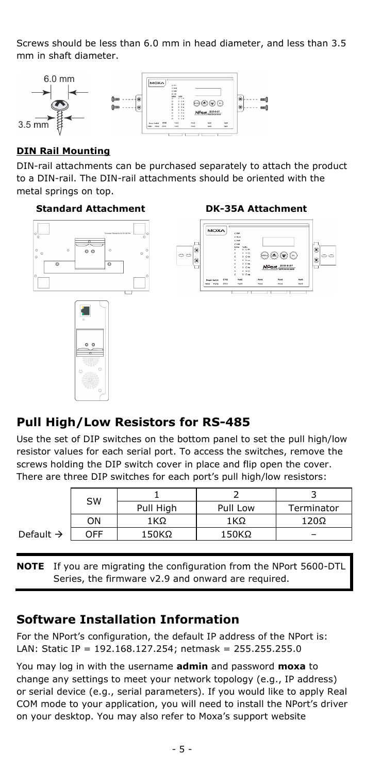Screws should be less than 6.0 mm in head diameter, and less than 3.5 mm in shaft diameter.



### **DIN Rail Mounting**

DIN-rail attachments can be purchased separately to attach the product to a DIN-rail. The DIN-rail attachments should be oriented with the metal springs on top.

#### **Standard Attachment DK-35A Attachment**







## **Pull High/Low Resistors for RS-485**

Use the set of DIP switches on the bottom panel to set the pull high/low resistor values for each serial port. To access the switches, remove the screws holding the DIP switch cover in place and flip open the cover. There are three DIP switches for each port's pull high/low resistors:

|                       | <b>SW</b> |           |          |            |
|-----------------------|-----------|-----------|----------|------------|
|                       |           | Pull High | Pull Low | Terminator |
|                       | ΟN        | 1KΩ       | 1 KΩ     | 120Ω       |
| Default $\rightarrow$ | OFF       | 150KΩ     | 150KΩ    |            |
|                       |           |           |          |            |

**NOTE** If you are migrating the configuration from the NPort 5600-DTL Series, the firmware v2.9 and onward are required.

## **Software Installation Information**

For the NPort's configuration, the default IP address of the NPort is: LAN: Static IP = 192.168.127.254; netmask = 255.255.255.0

You may log in with the username **admin** and password **moxa** to change any settings to meet your network topology (e.g., IP address) or serial device (e.g., serial parameters). If you would like to apply Real COM mode to your application, you will need to install the NPort's driver on your desktop. You may also refer to Moxa's support website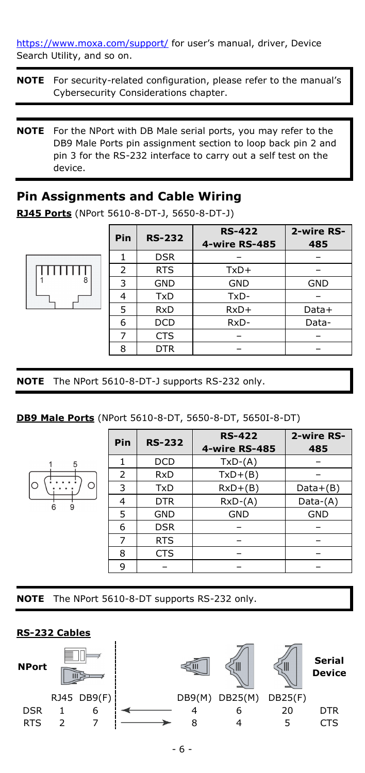<https://www.moxa.com/support/> for user's manual, driver, Device Search Utility, and so on.

- **NOTE** For security-related configuration, please refer to the manual's Cybersecurity Considerations chapter.
- **NOTE** For the NPort with DB Male serial ports, you may refer to the DB9 Male Ports pin assignment section to loop back pin 2 and pin 3 for the RS-232 interface to carry out a self test on the device.

## **Pin Assignments and Cable Wiring**

|   | Pin | <b>RS-232</b> | <b>RS-422</b><br>4-wire RS-485 | 2-wire RS-<br>485 |
|---|-----|---------------|--------------------------------|-------------------|
|   |     | <b>DSR</b>    |                                |                   |
|   | 2   | <b>RTS</b>    | $TxD+$                         |                   |
| 8 | 3   | <b>GND</b>    | <b>GND</b>                     | <b>GND</b>        |
|   | 4   | <b>TxD</b>    | TxD-                           |                   |
|   | 5   | <b>RxD</b>    | $RxD+$                         | Data+             |
|   | 6   | <b>DCD</b>    | RxD-                           | Data-             |
|   |     | <b>CTS</b>    |                                |                   |
|   | 8   | <b>DTR</b>    |                                |                   |

**RJ45 Ports** (NPort 5610-8-DT-J, 5650-8-DT-J)

**NOTE** The NPort 5610-8-DT-J supports RS-232 only.

#### **DB9 Male Ports** (NPort 5610-8-DT, 5650-8-DT, 5650I-8-DT)

|   | Pin | <b>RS-232</b> | <b>RS-422</b> | 2-wire RS- |  |
|---|-----|---------------|---------------|------------|--|
|   |     |               | 4-wire RS-485 | 485        |  |
|   |     | <b>DCD</b>    | $TxD-(A)$     |            |  |
|   | 2   | <b>RxD</b>    | $TxD+(B)$     |            |  |
| O | 3   | <b>TxD</b>    | $RxD+(B)$     | $Data+(B)$ |  |
|   | 4   | <b>DTR</b>    | $RxD-(A)$     | Data-(A)   |  |
|   | 5   | <b>GND</b>    | <b>GND</b>    | <b>GND</b> |  |
|   | 6   | <b>DSR</b>    |               |            |  |
|   | 7   | <b>RTS</b>    |               |            |  |
|   | 8   | <b>CTS</b>    |               |            |  |
|   | q   |               |               |            |  |

**NOTE** The NPort 5610-8-DT supports RS-232 only.

#### **RS-232 Cables**

 $\Pi\Pi$